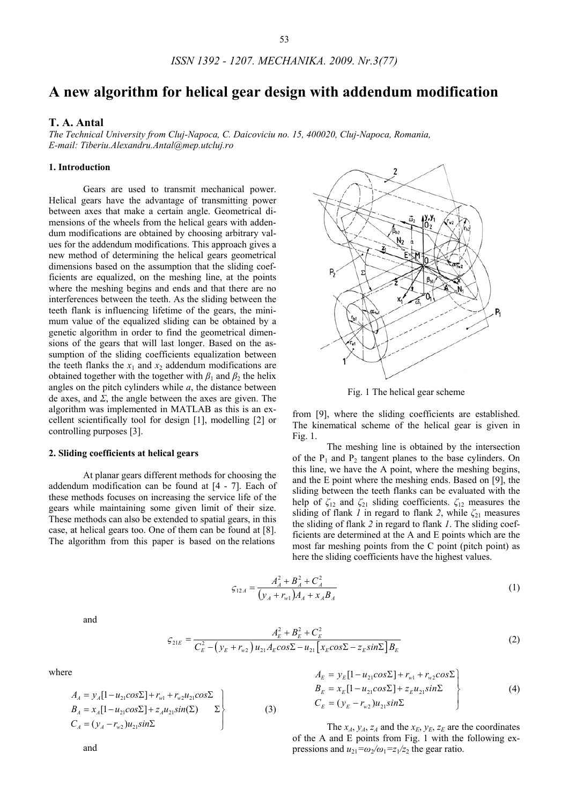# **A new algorithm for helical gear design with addendum modification**

## **T. A. Antal**

*The Technical University from Cluj-Napoca, C. Daicoviciu no. 15, 400020, Cluj-Napoca, Romania, E-mail: Tiberiu.Alexandru.Antal@mep.utcluj.ro* 

## **1. Introduction**

Gears are used to transmit mechanical power. Helical gears have the advantage of transmitting power between axes that make a certain angle. Geometrical dimensions of the wheels from the helical gears with addendum modifications are obtained by choosing arbitrary values for the addendum modifications. This approach gives a new method of determining the helical gears geometrical dimensions based on the assumption that the sliding coefficients are equalized, on the meshing line, at the points where the meshing begins and ends and that there are no interferences between the teeth. As the sliding between the teeth flank is influencing lifetime of the gears, the minimum value of the equalized sliding can be obtained by a genetic algorithm in order to find the geometrical dimensions of the gears that will last longer. Based on the assumption of the sliding coefficients equalization between the teeth flanks the  $x_1$  and  $x_2$  addendum modifications are obtained together with the together with  $\beta_1$  and  $\beta_2$  the helix angles on the pitch cylinders while *a*, the distance between de axes, and *Σ*, the angle between the axes are given. The algorithm was implemented in MATLAB as this is an excellent scientifically tool for design [1], modelling [2] or controlling purposes [3].

#### **2. Sliding coefficients at helical gears**

At planar gears different methods for choosing the addendum modification can be found at [4 - 7]. Each of these methods focuses on increasing the service life of the gears while maintaining some given limit of their size. These methods can also be extended to spatial gears, in this case, at helical gears too. One of them can be found at [8]. The algorithm from this paper is based on the relations



Fig. 1 The helical gear scheme

from [9], where the sliding coefficients are established. The kinematical scheme of the helical gear is given in Fig. 1.

The meshing line is obtained by the intersection of the  $P_1$  and  $P_2$  tangent planes to the base cylinders. On this line, we have the A point, where the meshing begins, and the E point where the meshing ends. Based on [9], the sliding between the teeth flanks can be evaluated with the help of  $\zeta_{12}$  and  $\zeta_{21}$  sliding coefficients.  $\zeta_{12}$  measures the sliding of flank *1* in regard to flank 2, while  $\zeta_{21}$  measures the sliding of flank *2* in regard to flank *1*. The sliding coefficients are determined at the A and E points which are the most far meshing points from the C point (pitch point) as here the sliding coefficients have the highest values.

$$
\varsigma_{12A} = \frac{A_A^2 + B_A^2 + C_A^2}{\left(y_A + r_{w1}\right)A_A + x_A B_A} \tag{1}
$$

and

$$
\varsigma_{21E} = \frac{A_E^2 + B_E^2 + C_E^2}{C_E^2 - (y_E + r_{w2}) u_{21} A_E \cos \Sigma - u_{21} \left[ x_E \cos \Sigma - z_E \sin \Sigma \right] B_E}
$$
(2)

where

$$
A_{A} = y_{A}[1 - u_{21}cos\Sigma] + r_{w1} + r_{w2}u_{21}cos\Sigma B_{A} = x_{A}[1 - u_{21}cos\Sigma] + z_{A}u_{21}sin(\Sigma) \Sigma C_{A} = (y_{A} - r_{w2})u_{21}sin\Sigma
$$
 (3)

$$
A_E = y_E[1 - u_{21}cos\Sigma] + r_{w1} + r_{w2}cos\Sigma B_E = x_E[1 - u_{21}cos\Sigma] + z_E u_{21}sin\Sigma C_E = (y_E - r_{w2})u_{21}sin\Sigma
$$
\n(4)

The  $x_A$ ,  $y_A$ ,  $z_A$  and the  $x_E$ ,  $y_E$ ,  $z_E$  are the coordinates of the A and E points from Fig. 1 with the following expressions and  $u_{21} = \omega_2 / \omega_1 = z_1 / z_2$  the gear ratio.

and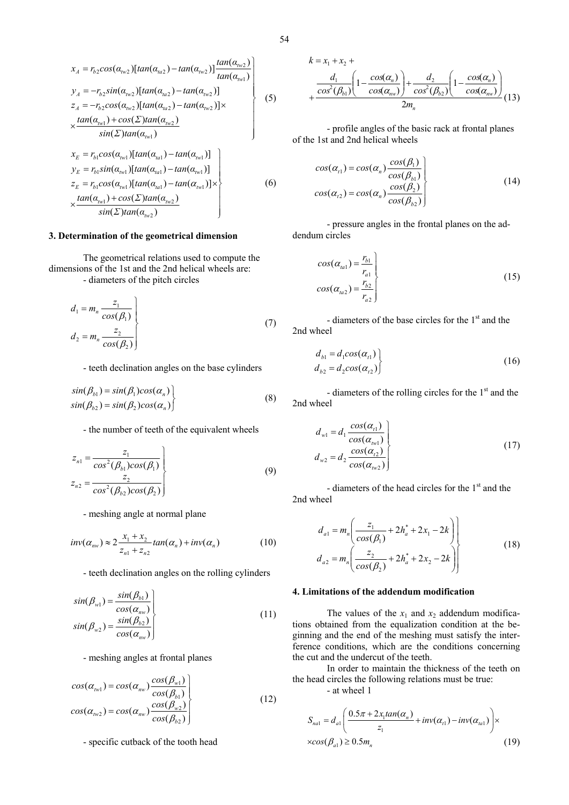$$
x_{A} = r_{b2}cos(\alpha_{hw2})[tan(\alpha_{ha2}) - tan(\alpha_{hw2})]\frac{tan(\alpha_{hw2})}{tan(\alpha_{hw1})}
$$
  
\n
$$
y_{A} = -r_{b2}sin(\alpha_{gw2})[tan(\alpha_{ha2}) - tan(\alpha_{hw2})]
$$
  
\n
$$
z_{A} = -r_{b2}cos(\alpha_{fw2})[tan(\alpha_{ha2}) - tan(\alpha_{fw2})] \times
$$
  
\n
$$
\times \frac{tan(\alpha_{hw1}) + cos(\Sigma)tan(\alpha_{hw2})}{sin(\Sigma)tan(\alpha_{hw1})}
$$
\n(5)

$$
x_{E} = r_{b1}cos(\alpha_{hvl})[tan(\alpha_{hal}) - tan(\alpha_{hvl})]
$$
  
\n
$$
y_{E} = r_{b1}sin(\alpha_{hvl})[tan(\alpha_{hal}) - tan(\alpha_{hvl})]
$$
  
\n
$$
z_{E} = r_{b1}cos(\alpha_{hvl})[tan(\alpha_{hal}) - tan(\alpha_{hvl})]
$$
  
\n
$$
\times \frac{tan(\alpha_{hvl}) + cos(\Sigma)tan(\alpha_{hv2})}{sin(\Sigma)tan(\alpha_{hy2})}
$$
\n(6)

### **3. Determination of the geometrical dimension**

 The geometrical relations used to compute the dimensions of the 1st and the 2nd helical wheels are: - diameters of the pitch circles

$$
d_1 = m_n \frac{z_1}{\cos(\beta_1)}
$$
  
\n
$$
d_2 = m_n \frac{z_2}{\cos(\beta_2)}
$$
\n(7)

- teeth declination angles on the base cylinders

$$
sin(\beta_{b1}) = sin(\beta_1)cos(\alpha_n)
$$
  
\n
$$
sin(\beta_{b2}) = sin(\beta_2)cos(\alpha_n)
$$
 (8)

- the number of teeth of the equivalent wheels

$$
z_{n1} = \frac{z_1}{\cos^2(\beta_{b1})\cos(\beta_1)}
$$
  
\n
$$
z_{n2} = \frac{z_2}{\cos^2(\beta_{b2})\cos(\beta_2)}
$$
\n(9)

- meshing angle at normal plane

$$
inv(\alpha_{nv}) \approx 2 \frac{x_1 + x_2}{z_{n1} + z_{n2}} tan(\alpha_n) + inv(\alpha_n)
$$
 (10)

- teeth declination angles on the rolling cylinders

$$
\sin(\beta_{w1}) = \frac{\sin(\beta_{b1})}{\cos(\alpha_{nw})}
$$
\n
$$
\sin(\beta_{w2}) = \frac{\sin(\beta_{b2})}{\cos(\alpha_{nw})}
$$
\n(11)

- meshing angles at frontal planes

$$
cos(\alpha_{\text{tw}1}) = cos(\alpha_{\text{mw}}) \frac{cos(\beta_{\text{wt}1})}{cos(\beta_{\text{wt}})}
$$
  

$$
cos(\alpha_{\text{tw}2}) = cos(\alpha_{\text{mw}}) \frac{cos(\beta_{\text{wt}2})}{cos(\beta_{\text{wt}2})}
$$
 (12)

- specific cutback of the tooth head

$$
k = x_1 + x_2 +
$$
  
\n
$$
+ \frac{d_1}{\cos^2(\beta_{b1})} \left(1 - \frac{\cos(\alpha_n)}{\cos(\alpha_{mv})}\right) + \frac{d_2}{\cos^2(\beta_{b2})} \left(1 - \frac{\cos(\alpha_n)}{\cos(\alpha_{mv})}\right)
$$
  
\n
$$
2m_n
$$
\n(13)

- profile angles of the basic rack at frontal planes of the 1st and 2nd helical wheels

$$
cos(\alpha_{i1}) = cos(\alpha_n) \frac{cos(\beta_1)}{cos(\beta_{b1})}
$$
  
\n
$$
cos(\alpha_{i2}) = cos(\alpha_n) \frac{cos(\beta_2)}{cos(\beta_{b2})}
$$
\n(14)

- pressure angles in the frontal planes on the addendum circles

 $\overline{a}$ 

$$
cos(\alpha_{l} = \frac{r_{b1}}{r_{a1}})
$$
  
\n
$$
cos(\alpha_{l} = \frac{r_{b2}}{r_{a2}})
$$
\n(15)

- diameters of the base circles for the  $1<sup>st</sup>$  and the 2nd wheel

$$
d_{b1} = d_1 \cos(\alpha_{t1})
$$
  
\n
$$
d_{b2} = d_2 \cos(\alpha_{t2})
$$
\n(16)

- diameters of the rolling circles for the  $1<sup>st</sup>$  and the 2nd wheel

$$
d_{w1} = d_1 \frac{\cos(\alpha_{t1})}{\cos(\alpha_{w1})}
$$
  
\n
$$
d_{w2} = d_2 \frac{\cos(\alpha_{t2})}{\cos(\alpha_{w2})}
$$
\n(17)

- diameters of the head circles for the  $1<sup>st</sup>$  and the 2nd wheel

$$
d_{a1} = m_n \left( \frac{z_1}{\cos(\beta_1)} + 2h_a^* + 2x_1 - 2k \right) \nd_{a2} = m_n \left( \frac{z_2}{\cos(\beta_2)} + 2h_a^* + 2x_2 - 2k \right)
$$
\n(18)

## **4. Limitations of the addendum modification**

The values of the  $x_1$  and  $x_2$  addendum modifications obtained from the equalization condition at the beginning and the end of the meshing must satisfy the interference conditions, which are the conditions concerning the cut and the undercut of the teeth.

In order to maintain the thickness of the teeth on the head circles the following relations must be true:

- at wheel 1

$$
S_{nal} = d_{al} \left( \frac{0.5\pi + 2x_1 \tan(\alpha_n)}{z_1} + inv(\alpha_{l1}) - inv(\alpha_{l2}) \right) \times
$$
  
 
$$
\times \cos(\beta_{al}) \ge 0.5 m_n
$$
 (19)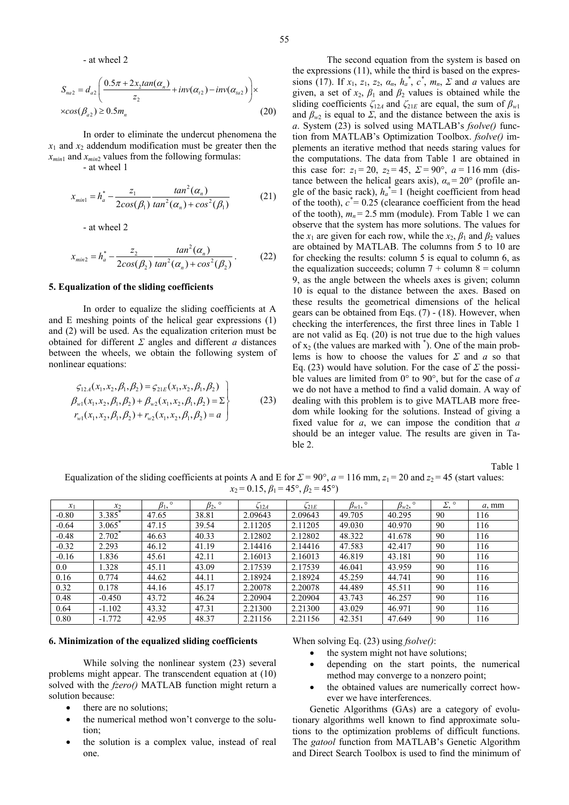- at wheel 2

$$
S_{na2} = d_{a2} \left( \frac{0.5\pi + 2x_2 \tan(\alpha_n)}{z_2} + inv(\alpha_{t2}) - inv(\alpha_{ua2}) \right) \times
$$
  
 
$$
\times \cos(\beta_{a2}) \ge 0.5 m_n
$$
 (20)

In order to eliminate the undercut phenomena the  $x_1$  and  $x_2$  addendum modification must be greater then the  $x_{min1}$  and  $x_{min2}$  values from the following formulas:

- at wheel 1

$$
x_{min1} = h_a^* - \frac{z_1}{2\cos(\beta_1)} \frac{\tan^2(\alpha_n)}{\tan^2(\alpha_n) + \cos^2(\beta_1)}
$$
(21)

- at wheel 2

$$
x_{min2} = h_a^* - \frac{z_2}{2\cos(\beta_2)} \frac{\tan^2(\alpha_n)}{\tan^2(\alpha_n) + \cos^2(\beta_2)}.
$$
 (22)

## **5. Equalization of the sliding coefficients**

In order to equalize the sliding coefficients at A and E meshing points of the helical gear expressions (1) and (2) will be used. As the equalization criterion must be obtained for different *Σ* angles and different *a* distances between the wheels, we obtain the following system of nonlinear equations:

$$
\mathcal{G}_{12A}(x_1, x_2, \beta_1, \beta_2) = \mathcal{G}_{21E}(x_1, x_2, \beta_1, \beta_2)
$$
\n
$$
\beta_{w1}(x_1, x_2, \beta_1, \beta_2) + \beta_{w2}(x_1, x_2, \beta_1, \beta_2) = \Sigma
$$
\n
$$
r_{w1}(x_1, x_2, \beta_1, \beta_2) + r_{w2}(x_1, x_2, \beta_1, \beta_2) = a
$$
\n(23)

The second equation from the system is based on the expressions (11), while the third is based on the expressions (17). If  $x_1$ ,  $z_1$ ,  $z_2$ ,  $a_n$ ,  $h_a^*$ ,  $c^*$ ,  $m_n$ ,  $\Sigma$  and *a* values are given, a set of  $x_2$ ,  $\beta_1$  and  $\beta_2$  values is obtained while the sliding coefficients  $\zeta_{12A}$  and  $\zeta_{21E}$  are equal, the sum of  $\beta_{w1}$ and  $\beta_{w2}$  is equal to *Σ*, and the distance between the axis is *a*. System (23) is solved using MATLAB's *fsolve()* function from MATLAB's Optimization Toolbox. *fsolve()* implements an iterative method that needs staring values for the computations. The data from Table 1 are obtained in this case for:  $z_1 = 20$ ,  $z_2 = 45$ ,  $\sum = 90^\circ$ ,  $a = 116$  mm (distance between the helical gears axis),  $\alpha_n = 20^\circ$  (profile angle of the basic rack),  $h_a^* = 1$  (height coefficient from head of the tooth),  $c^* = 0.25$  (clearance coefficient from the head of the tooth),  $m_n = 2.5$  mm (module). From Table 1 we can observe that the system has more solutions. The values for the  $x_1$  are given for each row, while the  $x_2$ ,  $\beta_1$  and  $\beta_2$  values are obtained by MATLAB. The columns from 5 to 10 are for checking the results: column 5 is equal to column 6, as the equalization succeeds; column  $7 + \text{column } 8 = \text{column}$ 9, as the angle between the wheels axes is given; column 10 is equal to the distance between the axes. Based on these results the geometrical dimensions of the helical gears can be obtained from Eqs. (7) - (18). However, when checking the interferences, the first three lines in Table 1 are not valid as Eq. (20) is not true due to the high values of  $x_2$  (the values are marked with  $\checkmark$ ). One of the main problems is how to choose the values for *Σ* and *a* so that Eq. (23) would have solution. For the case of  $\Sigma$  the possible values are limited from 0° to 90°, but for the case of *a* we do not have a method to find a valid domain. A way of dealing with this problem is to give MATLAB more freedom while looking for the solutions. Instead of giving a fixed value for *a*, we can impose the condition that *a* should be an integer value. The results are given in Table 2.

Table 1

Equalization of the sliding coefficients at points A and E for  $\Sigma = 90^\circ$ ,  $a = 116$  mm,  $z_1 = 20$  and  $z_2 = 45$  (start values:  $x_2 = 0.15$ ,  $\beta_1 = 45^\circ$ ,  $\beta_2 = 45^\circ$ )

| $\mathcal{X}_1$ | $x_2$                | $\circ$<br>$\beta_1$ | $\circ$<br>$\sigma_{2}$ | 5124    | 621E    | $\circ$<br>$\beta_{w1},$ | $\circ$<br>$p_{w2}$ | $\nabla$ 0 | $a, \text{mm}$ |
|-----------------|----------------------|----------------------|-------------------------|---------|---------|--------------------------|---------------------|------------|----------------|
| $-0.80$         | 3.385                | 47.65                | 38.81                   | 2.09643 | 2.09643 | 49.705                   | 40.295              | 90         | 116            |
| $-0.64$         | $3.065$ <sup>*</sup> | 47.15                | 39.54                   | 2.11205 | 2.11205 | 49.030                   | 40.970              | 90         | 116            |
| $-0.48$         | $2.702^*$            | 46.63                | 40.33                   | 2.12802 | 2.12802 | 48.322                   | 41.678              | 90         | 116            |
| $-0.32$         | 2.293                | 46.12                | 41.19                   | 2.14416 | 2.14416 | 47.583                   | 42.417              | 90         | 116            |
| $-0.16$         | 1.836                | 45.61                | 42.11                   | 2.16013 | 2.16013 | 46.819                   | 43.181              | 90         | 116            |
| 0.0             | 1.328                | 45.11                | 43.09                   | 2.17539 | 2.17539 | 46.041                   | 43.959              | 90         | 116            |
| 0.16            | 0.774                | 44.62                | 44.11                   | 2.18924 | 2.18924 | 45.259                   | 44.741              | 90         | 116            |
| 0.32            | 0.178                | 44.16                | 45.17                   | 2.20078 | 2.20078 | 44.489                   | 45.511              | 90         | 116            |
| 0.48            | $-0.450$             | 43.72                | 46.24                   | 2.20904 | 2.20904 | 43.743                   | 46.257              | 90         | 116            |
| 0.64            | $-1.102$             | 43.32                | 47.31                   | 2.21300 | 2.21300 | 43.029                   | 46.971              | 90         | 116            |
| 0.80            | $-1.772$             | 42.95                | 48.37                   | 2.21156 | 2.21156 | 42.351                   | 47.649              | 90         | 116            |

#### **6. Minimization of the equalized sliding coefficients**

While solving the nonlinear system (23) several problems might appear. The transcendent equation at (10) solved with the *fzero()* MATLAB function might return a solution because:

- there are no solutions;
- the numerical method won't converge to the solution;
- the solution is a complex value, instead of real one.

When solving Eq. (23) using *fsolve()*:

- the system might not have solutions;
- depending on the start points, the numerical method may converge to a nonzero point;
- the obtained values are numerically correct however we have interferences.

Genetic Algorithms (GAs) are a category of evolutionary algorithms well known to find approximate solutions to the optimization problems of difficult functions. The *gatool* function from MATLAB's Genetic Algorithm and Direct Search Toolbox is used to find the minimum of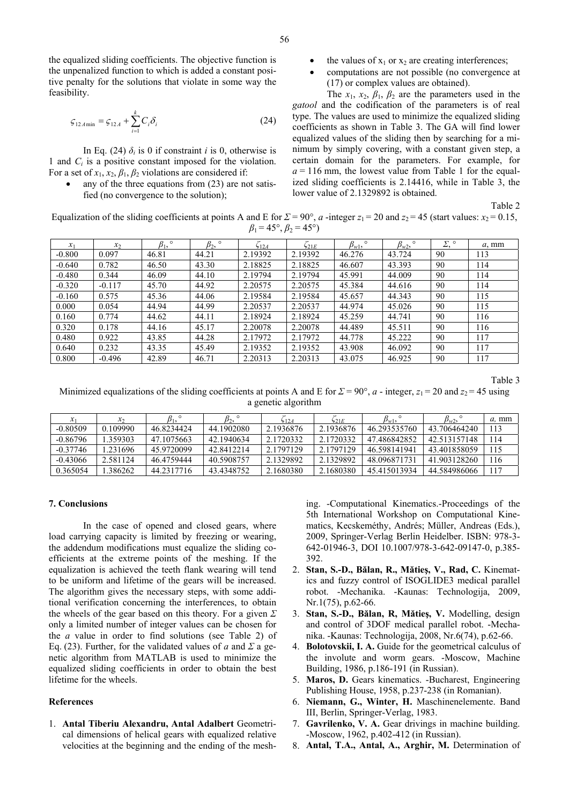the equalized sliding coefficients. The objective function is the unpenalized function to which is added a constant positive penalty for the solutions that violate in some way the feasibility.

$$
\varsigma_{12A\min} = \varsigma_{12A} + \sum_{i=1}^{k} C_i \delta_i
$$
 (24)

In Eq. (24)  $\delta_i$  is 0 if constraint *i* is 0, otherwise is 1 and *Ci* is a positive constant imposed for the violation. For a set of  $x_1, x_2, \beta_1, \beta_2$  violations are considered if:

any of the three equations from  $(23)$  are not satisfied (no convergence to the solution);

- the values of  $x_1$  or  $x_2$  are creating interferences;
- computations are not possible (no convergence at (17) or complex values are obtained).

The  $x_1$ ,  $x_2$ ,  $\beta_1$ ,  $\beta_2$  are the parameters used in the *gatool* and the codification of the parameters is of real type. The values are used to minimize the equalized sliding coefficients as shown in Table 3. The GA will find lower equalized values of the sliding then by searching for a minimum by simply covering, with a constant given step, a certain domain for the parameters. For example, for  $a = 116$  mm, the lowest value from Table 1 for the equalized sliding coefficients is 2.14416, while in Table 3, the lower value of 2.1329892 is obtained.

Table 2

Equalization of the sliding coefficients at points A and E for  $\Sigma = 90^{\circ}$ , *a*-integer  $z_1 = 20$  and  $z_2 = 45$  (start values:  $x_2 = 0.15$ ,  $\beta_1 = 45^\circ$ ,  $\beta_2 = 45^\circ$ )

| $\mathcal{X}_1$ | x <sub>2</sub> | $\circ$<br>$\beta_1$ | $\circ$<br>$\beta_2$ | 512A    | 621E    | $\beta_{w1}$<br>$\circ$ | $\circ$<br>$p_{w2}$ | ᠵ<br>$^{\circ}$<br>4, | $a, \text{mm}$ |
|-----------------|----------------|----------------------|----------------------|---------|---------|-------------------------|---------------------|-----------------------|----------------|
| $-0.800$        | 0.097          | 46.81                | 44.21                | 2.19392 | 2.19392 | 46.276                  | 43.724              | 90                    | 113            |
| $-0.640$        | 0.782          | 46.50                | 43.30                | 2.18825 | 2.18825 | 46.607                  | 43.393              | 90                    | 114            |
| $-0.480$        | 0.344          | 46.09                | 44.10                | 2.19794 | 2.19794 | 45.991                  | 44.009              | 90                    | 114            |
| $-0.320$        | $-0.117$       | 45.70                | 44.92                | 2.20575 | 2.20575 | 45.384                  | 44.616              | 90                    | 114            |
| $-0.160$        | 0.575          | 45.36                | 44.06                | 2.19584 | 2.19584 | 45.657                  | 44.343              | 90                    | 115            |
| 0.000           | 0.054          | 44.94                | 44.99                | 2.20537 | 2.20537 | 44.974                  | 45.026              | 90                    | 115            |
| 0.160           | 0.774          | 44.62                | 44.11                | 2.18924 | 2.18924 | 45.259                  | 44.741              | 90                    | 116            |
| 0.320           | 0.178          | 44.16                | 45.17                | 2.20078 | 2.20078 | 44.489                  | 45.511              | 90                    | 116            |
| 0.480           | 0.922          | 43.85                | 44.28                | 2.17972 | 2.17972 | 44.778                  | 45.222              | 90                    | 117            |
| 0.640           | 0.232          | 43.35                | 45.49                | 2.19352 | 2.19352 | 43.908                  | 46.092              | 90                    | 117            |
| 0.800           | $-0.496$       | 42.89                | 46.71                | 2.20313 | 2.20313 | 43.075                  | 46.925              | 90                    | 117            |

Table 3

Minimized equalizations of the sliding coefficients at points A and E for  $\Sigma = 90^\circ$ , *a* - integer,  $z_1 = 20$  and  $z_2 = 45$  using a genetic algorithm

|            | $\mathcal{X}_{2}$ |            | $\beta_2$  | $-12A$    | 621E      | $\beta_{w1},$ | $\beta_{w2}$ | a, mm |
|------------|-------------------|------------|------------|-----------|-----------|---------------|--------------|-------|
| $-0.80509$ | 0.109990          | 46.8234424 | 44.1902080 | 2.1936876 | 2.1936876 | 46.293535760  | 43.706464240 |       |
| $-0.86796$ | 359303            | 47.1075663 | 42.1940634 | 2.1720332 | 2.1720332 | 47.486842852  | 42.513157148 | 14    |
| $-0.37746$ | .231696           | 45.9720099 | 42.8412214 | 2.1797129 | 2.1797129 | 46.598141941  | 43.401858059 |       |
| $-0.43066$ | 2.581124          | 46.4759444 | 40.5908757 | 2.1329892 | 2.1329892 | 48.096871731  | 41.903128260 | 116   |
| 0.365054   | 386262            | 44.2317716 | 43.4348752 | 2.1680380 | 2.1680380 | 45.415013934  | 44.584986066 |       |

#### **7. Conclusions**

In the case of opened and closed gears, where load carrying capacity is limited by freezing or wearing, the addendum modifications must equalize the sliding coefficients at the extreme points of the meshing. If the equalization is achieved the teeth flank wearing will tend to be uniform and lifetime of the gears will be increased. The algorithm gives the necessary steps, with some additional verification concerning the interferences, to obtain the wheels of the gear based on this theory. For a given *Σ* only a limited number of integer values can be chosen for the *a* value in order to find solutions (see Table 2) of Eq. (23). Further, for the validated values of *a* and  $\Sigma$  a genetic algorithm from MATLAB is used to minimize the equalized sliding coefficients in order to obtain the best lifetime for the wheels.

### **References**

1. **Antal Tiberiu Alexandru, Antal Adalbert** Geometrical dimensions of helical gears with equalized relative velocities at the beginning and the ending of the meshing. -Computational Kinematics.-Proceedings of the 5th International Workshop on Computational Kinematics, Kecskeméthy, Andrés; Müller, Andreas (Eds.), 2009, Springer-Verlag Berlin Heidelber. ISBN: 978-3- 642-01946-3, DOI 10.1007/978-3-642-09147-0, p.385- 392.

- 2. **Stan, S.-D., Bălan, R., Mătieş, V., Rad, C.** Kinematics and fuzzy control of ISOGLIDE3 medical parallel robot. -Mechanika. -Kaunas: Technologija, 2009, Nr.1(75), p.62-66.
- 3. **Stan, S.-D., Bălan, R, Mătieş, V.** Modelling, design and control of 3DOF medical parallel robot. -Mechanika. -Kaunas: Technologija, 2008, Nr.6(74), p.62-66.
- 4. **Bolotovskii, I. A.** Guide for the geometrical calculus of the involute and worm gears. -Moscow, Machine Building, 1986, p.186-191 (in Russian).
- 5. **Maros, D.** Gears kinematics. -Bucharest, Engineering Publishing House, 1958, p.237-238 (in Romanian).
- 6. **Niemann, G., Winter, H.** Maschinenelemente. Band III, Berlin, Springer-Verlag, 1983.
- 7. **Gavrilenko, V. A.** Gear drivings in machine building. -Moscow, 1962, p.402-412 (in Russian).
- 8. **Antal, T.A., Antal, A., Arghir, M.** Determination of